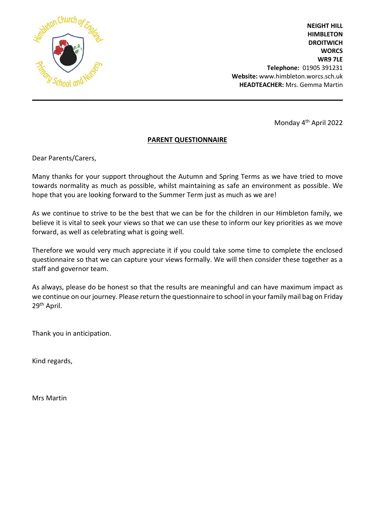

**NEIGHT HILL HIMBLETON DROITWICH WORCS WR9 7LE Telephone:** 01905 391231 **Website:** www.himbleton.worcs.sch.uk  **HEADTEACHER:** Mrs. Gemma Martin

Monday 4 th April 2022

## **PARENT QUESTIONNAIRE**

Dear Parents/Carers,

Many thanks for your support throughout the Autumn and Spring Terms as we have tried to move towards normality as much as possible, whilst maintaining as safe an environment as possible. We hope that you are looking forward to the Summer Term just as much as we are!

As we continue to strive to be the best that we can be for the children in our Himbleton family, we believe it is vital to seek your views so that we can use these to inform our key priorities as we move forward, as well as celebrating what is going well.

Therefore we would very much appreciate it if you could take some time to complete the enclosed questionnaire so that we can capture your views formally. We will then consider these together as a staff and governor team.

As always, please do be honest so that the results are meaningful and can have maximum impact as we continue on our journey. Please return the questionnaire to school in your family mail bag on Friday 29th April.

Thank you in anticipation.

Kind regards,

Mrs Martin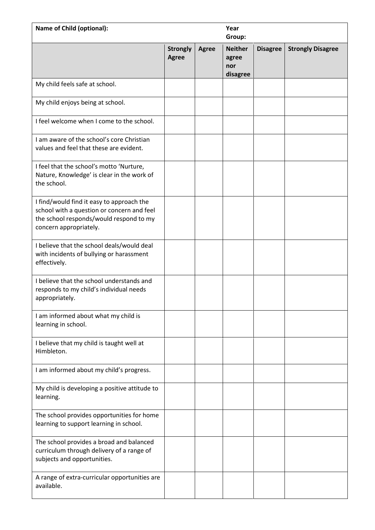| <b>Name of Child (optional):</b>                                                                                                                             |                                 |              |                                            | Year<br>Group:  |                          |  |  |
|--------------------------------------------------------------------------------------------------------------------------------------------------------------|---------------------------------|--------------|--------------------------------------------|-----------------|--------------------------|--|--|
|                                                                                                                                                              | <b>Strongly</b><br><b>Agree</b> | <b>Agree</b> | <b>Neither</b><br>agree<br>nor<br>disagree | <b>Disagree</b> | <b>Strongly Disagree</b> |  |  |
| My child feels safe at school.                                                                                                                               |                                 |              |                                            |                 |                          |  |  |
| My child enjoys being at school.                                                                                                                             |                                 |              |                                            |                 |                          |  |  |
| I feel welcome when I come to the school.                                                                                                                    |                                 |              |                                            |                 |                          |  |  |
| I am aware of the school's core Christian<br>values and feel that these are evident.                                                                         |                                 |              |                                            |                 |                          |  |  |
| I feel that the school's motto 'Nurture,<br>Nature, Knowledge' is clear in the work of<br>the school.                                                        |                                 |              |                                            |                 |                          |  |  |
| I find/would find it easy to approach the<br>school with a question or concern and feel<br>the school responds/would respond to my<br>concern appropriately. |                                 |              |                                            |                 |                          |  |  |
| I believe that the school deals/would deal<br>with incidents of bullying or harassment<br>effectively.                                                       |                                 |              |                                            |                 |                          |  |  |
| I believe that the school understands and<br>responds to my child's individual needs<br>appropriately.                                                       |                                 |              |                                            |                 |                          |  |  |
| I am informed about what my child is<br>learning in school.                                                                                                  |                                 |              |                                            |                 |                          |  |  |
| I believe that my child is taught well at<br>Himbleton.                                                                                                      |                                 |              |                                            |                 |                          |  |  |
| I am informed about my child's progress.                                                                                                                     |                                 |              |                                            |                 |                          |  |  |
| My child is developing a positive attitude to<br>learning.                                                                                                   |                                 |              |                                            |                 |                          |  |  |
| The school provides opportunities for home<br>learning to support learning in school.                                                                        |                                 |              |                                            |                 |                          |  |  |
| The school provides a broad and balanced<br>curriculum through delivery of a range of<br>subjects and opportunities.                                         |                                 |              |                                            |                 |                          |  |  |
| A range of extra-curricular opportunities are<br>available.                                                                                                  |                                 |              |                                            |                 |                          |  |  |